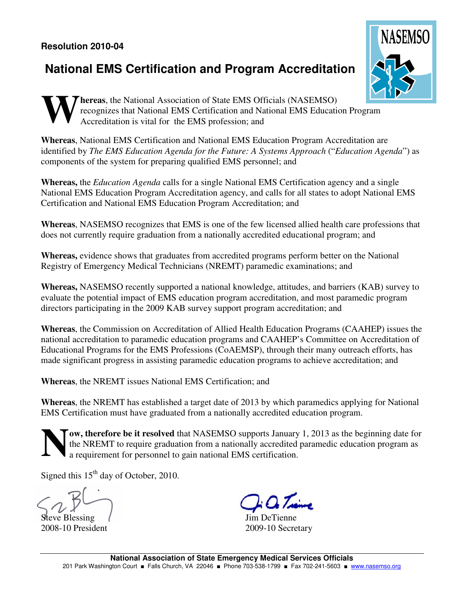## **Resolution 2010-04**

## **National EMS Certification and Program Accreditation**



**hereas**, the National Association of State EMS Officials (NASEMSO) recognizes that National EMS Certification and National EMS Education Program Accreditation is vital for the EMS profession; and **W**

**Whereas**, National EMS Certification and National EMS Education Program Accreditation are identified by *The EMS Education Agenda for the Future: A Systems Approach* ("*Education Agenda*") as components of the system for preparing qualified EMS personnel; and

**Whereas,** the *Education Agenda* calls for a single National EMS Certification agency and a single National EMS Education Program Accreditation agency, and calls for all states to adopt National EMS Certification and National EMS Education Program Accreditation; and

**Whereas**, NASEMSO recognizes that EMS is one of the few licensed allied health care professions that does not currently require graduation from a nationally accredited educational program; and

**Whereas,** evidence shows that graduates from accredited programs perform better on the National Registry of Emergency Medical Technicians (NREMT) paramedic examinations; and

**Whereas,** NASEMSO recently supported a national knowledge, attitudes, and barriers (KAB) survey to evaluate the potential impact of EMS education program accreditation, and most paramedic program directors participating in the 2009 KAB survey support program accreditation; and

**Whereas**, the Commission on Accreditation of Allied Health Education Programs (CAAHEP) issues the national accreditation to paramedic education programs and CAAHEP's Committee on Accreditation of Educational Programs for the EMS Professions (CoAEMSP), through their many outreach efforts, has made significant progress in assisting paramedic education programs to achieve accreditation; and

**Whereas**, the NREMT issues National EMS Certification; and

**Whereas**, the NREMT has established a target date of 2013 by which paramedics applying for National EMS Certification must have graduated from a nationally accredited education program.

**ow, therefore be it resolved** that NASEMSO supports January 1, 2013 as the beginning date for the NREMT to require graduation from a nationally accredited paramedic education program as a requirement for personnel to gain national EMS certification. **N**

Signed this 15<sup>th</sup> day of October, 2010.

Steve Blessing 2008-10 President

Jim DeTienne 2009-10 Secretary